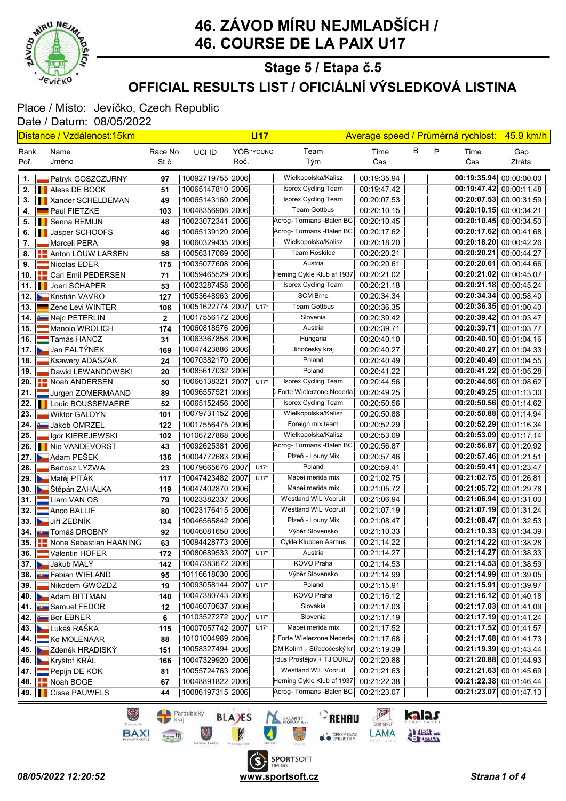

# 46. ZÁVOD MÍRU NEJMLADŠÍCH / 46. COURSE DE LA PAIX U17

### OFFICIAL RESULTS LIST / OFICIÁLNÍ VÝSLEDKOVÁ LISTINA Stage 5 / Etapa č.5

#### Place / Místo: Jevíčko, Czech Republic Date / Datum: 08/05/2022

|       | <u> Distance / Vzdálenost:15km</u>  |              |                       |      | <b>U17</b> |                            | Average speed / Průměrná rychlost: |   |   |                           | 45.9 km/h               |  |
|-------|-------------------------------------|--------------|-----------------------|------|------------|----------------------------|------------------------------------|---|---|---------------------------|-------------------------|--|
| Rank  | Name                                | Race No.     | UCI ID                |      | YOB *YOUNG | Team                       | Time                               | В | P | Time                      | Gap                     |  |
| Poř.  | Jméno                               | St.č.        |                       | Roč. |            | Tým                        | Čas                                |   |   | Čas                       | Ztráta                  |  |
| 1. I  | <b>Patryk GOSZCZURNY</b>            | 97           | 10092719755 2006      |      |            | Wielkopolska/Kalisz        | 00:19:35.94                        |   |   | 00:19:35.94 00:00:00.00   |                         |  |
|       | 2. <b>I</b> Aless DE BOCK           | 51           | 10065147810 2006      |      |            | <b>Isorex Cycling Team</b> | 00:19:47.42                        |   |   | 00:19:47.42 00:00:11.48   |                         |  |
| 3.    | <b>Xander SCHELDEMAN</b>            | 49           | 10065143160 2006      |      |            | Isorex Cycling Team        | 00:20:07.53                        |   |   | 00:20:07.53 00:00:31.59   |                         |  |
| 4.    | Paul FIETZKE                        | 103          | 10048356908 2006      |      |            | <b>Team Gottbus</b>        | 00:20:10.15                        |   |   | $00:20:10.15$ 00:00:34.21 |                         |  |
| 5.    | <b>Senna REMIJN</b>                 | 48           | 10023072341 2006      |      |            | Acrog- Tormans - Balen BC  | 00:20:10.45                        |   |   | 00:20:10.45 00:00:34.50   |                         |  |
| 6.    | <b>I</b> Jasper SCHOOFS             | 46           | 10065139120 2006      |      |            | Acrog- Tormans - Balen BC  | 00:20:17.62                        |   |   | 00:20:17.62 00:00:41.68   |                         |  |
| 7. I  | Marceli PERA                        | 98           | 1006032943512006      |      |            | Wielkopolska/Kalisz        | 00:20:18.20                        |   |   | 00:20:18.20 00:00:42.26   |                         |  |
|       | 8. <b>ED</b> Anton LOUW LARSEN      | 58           | 10056317069 2006      |      |            | <b>Team Roskilde</b>       | 00:20:20.21                        |   |   | 00:20:20.21 00:00:44.27   |                         |  |
| 9. I  | Nicolas EDER                        | 175          | 10035077608 2006      |      |            | Austria                    | 00:20:20.61                        |   |   | 00:20:20.61 00:00:44.66   |                         |  |
|       | 10. <b>      Carl Emil PEDERSEN</b> | 71           | 10059465529 2006      |      |            | Herning Cykle Klub af 1937 | 00:20:21.02                        |   |   | 00:20:21.02 00:00:45.07   |                         |  |
|       | 11. <b>I</b> Joeri SCHAPER          | 53           | 10023287458 2006      |      |            | Isorex Cycling Team        | 00:20:21.18                        |   |   | 00:20:21.18 00:00:45.24   |                         |  |
|       | 12. Kristián VAVRO                  | 127          | 10053648963 2006      |      |            | <b>SCM Brno</b>            | 00:20:34.34                        |   |   | 00:20:34.34 00:00:58.40   |                         |  |
|       | 13. <b>Exerci</b> Zeno Levi WINTER  | 108          | 10051622774 2007      |      | $U17*$     | <b>Team Gottbus</b>        | 00:20:36.35                        |   |   | 00:20:36.35 00:01:00.40   |                         |  |
|       | 14. <b>Em Nejc PETERLIN</b>         | $\mathbf{2}$ | 10017556172 2006      |      |            | Slovenia                   | 00:20:39.42                        |   |   | 00:20:39.42 00:01:03.47   |                         |  |
|       | 15. Manolo WROLICH                  | 174          | 10060818576 2006      |      |            | Austria                    | 00:20:39.71                        |   |   | 00:20:39.71               | 00:01:03.77             |  |
|       | 16. Tamás HANCZ                     | 31           | 10063367858 2006      |      |            | Hungaria                   | 00:20:40.10                        |   |   | 00:20:40.10 00:01:04.16   |                         |  |
|       | 17. Jan FALTÝNEK                    | 169          | 10047423886 2006      |      |            | Jihočeský kraj             | 00:20:40.27                        |   |   | 00:20:40.27               | 00:01:04.33             |  |
| 18. l | Ksawery ADASZAK                     | 24           | 10070382170 2006      |      |            | Poland                     | 00:20:40.49                        |   |   | 00:20:40.49 00:01:04.55   |                         |  |
| 19. l | Dawid LEWANDOWSKI                   | 20           | 10085617032 2006      |      |            | Poland                     | 00:20:41.22                        |   |   | 00:20:41.22 00:01:05.28   |                         |  |
|       | 20. <b>Part ANDERSEN</b>            | 50           | 10066138321 2007 U17* |      |            | Isorex Cycling Team        | 00:20:44.56                        |   |   | 00:20:44.56 00:01:08.62   |                         |  |
| 21.1  | Jurgen ZOMERMAAND                   | 89           | 10096557521 2006      |      |            | ) Forte Wielerzone Nederla | 00:20:49.25                        |   |   | 00:20:49.25 00:01:13.30   |                         |  |
|       | 22.   Louic BOUSSEMAERE             | 52           | 10065152456 2006      |      |            | Isorex Cycling Team        | 00:20:50.56                        |   |   | 00:20:50.56 00:01:14.62   |                         |  |
| 23.1  | <b>Wiktor GALDYN</b>                | 101          | 10079731152 [2006]    |      |            | Wielkopolska/Kalisz        | 00:20:50.88                        |   |   | 00:20:50.88 00:01:14.94   |                         |  |
|       | 24. Jakob OMRZEL                    | 122          | 10017556475 [2006]    |      |            | Foreign mix team           | 00:20:52.29                        |   |   | 00:20:52.29 00:01:16.34   |                         |  |
| 25. I | Igor KIEREJEWSKI                    | 102          | 10106727868 2006      |      |            | Wielkopolska/Kalisz        | 00:20:53.09                        |   |   | 00:20:53.09 00:01:17.14   |                         |  |
|       | 26. I Nio VANDEVORST                | 43           | 10092625381 2006      |      |            | Acrog-Tormans -Balen BC    | 00:20:56.87                        |   |   | 00:20:56.87 00:01:20.92   |                         |  |
|       | 27. Adam PEŠEK                      | 136          | 10004772683 2006      |      |            | Plzeň - Louny Mix          | 00:20:57.46                        |   |   | 00:20:57.46 00:01:21.51   |                         |  |
| 28. l | Bartosz LYZWA                       | 23           | 10079665676 2007      |      | $U17*$     | Poland                     | 00:20:59.41                        |   |   | 00:20:59.41 00:01:23.47   |                         |  |
|       | 29. Matěj PITÁK                     | 117          | 10047423482 2007      |      | $U17*$     | Mapei merida mix           | 00:21:02.75                        |   |   | 00:21:02.75 00:01:26.81   |                         |  |
|       | 30. Stěpán ZAHÁLKA                  | 119          | 10047402870 2006      |      |            | Mapei merida mix           | 00:21:05.72                        |   |   | 00:21:05.72 00:01:29.78   |                         |  |
|       | 31. Liam VAN OS                     | 79           | 10023382337 2006      |      |            | Westland WiL Vooruit       | 00:21:06.94                        |   |   | 00:21:06.94 00:01:31.00   |                         |  |
|       | 32. Anco BALLIF                     | 80           | 10023176415 [2006]    |      |            | Westland WiL Vooruit       | 00:21:07.19                        |   |   | 00:21:07.19 00:01:31.24   |                         |  |
|       | 33. Jiří ZEDNÍK                     | 134          | 10046565842 2006      |      |            | Plzeň - Louny Mix          | 00:21:08.47                        |   |   | 00:21:08.47               | 00:01:32.53             |  |
|       | 34. <b>JU Tomáš DROBNÝ</b>          | 92           | 10046081650 2006      |      |            | Výběr Slovensko            | 00:21:10.33                        |   |   | 00:21:10.33 00:01:34.39   |                         |  |
|       | 35. <b>T</b> None Sebastian HAANING | 63           | 10094428773 2006      |      |            | Cykle Klubben Aarhus       | 00:21:14.22                        |   |   | 00:21:14.22 00:01:38.28   |                         |  |
|       | 36. Valentin HOFER                  | 172          | 10080689533 2007 U17* |      |            | Austria                    | 00:21:14.27                        |   |   |                           | 00:21:14.27 00:01:38.33 |  |
|       | 37. Jakub MALY                      | 142          | 10047383672 2006      |      |            | KOVO Praha                 | 00:21:14.53                        |   |   | 00:21:14.53 00:01:38.59   |                         |  |
|       | 38. <b>JULI</b> Fabian WIELAND      | 95           | 10116618030 2006      |      |            | Výběr Slovensko            | 00:21:14.99                        |   |   | 00:21:14.99 00:01:39.05   |                         |  |
| 39.   | Nikodem GWOZDZ                      | 19           | 10093058144  2007     |      | $U17*$     | Poland                     | 00:21:15.91                        |   |   | 00:21:15.91 00:01:39.97   |                         |  |
|       | 40. Adam BITTMAN                    | 140          | 10047380743 2006      |      |            | KOVO Praha                 | 00:21:16.12                        |   |   | 00:21:16.12 00:01:40.18   |                         |  |
|       | 41. <b>July</b> Samuel FEDOR        | 12           | 10046070637 2006      |      |            | Slovakia                   | 00:21:17.03                        |   |   | 00:21:17.03 00:01:41.09   |                         |  |
|       | 42. Bor EBNER                       | 6            | 10103527272 2007 U17* |      |            | Slovenia                   | 00:21:17.19                        |   |   | 00:21:17.19 00:01:41.24   |                         |  |
|       | 43. Lukáš RAŠKA                     | 115          | 10007057742 2007 U17* |      |            | Mapei merida mix           | 00:21:17.52                        |   |   | 00:21:17.52 00:01:41.57   |                         |  |
| 44.   | Ko MOLENAAR                         | 88           | 10101004969 2006      |      |            | CForte Wielerzone Nederla  | 00:21:17.68                        |   |   | 00:21:17.68 00:01:41.73   |                         |  |
|       | 45. Zdeněk HRADISKÝ                 | 151          | 10058327494 2006      |      |            | CM Kolín1 - Středočeský kr | 00:21:19.39                        |   |   |                           | 00:21:19.39 00:01:43.44 |  |
|       | 46. Kryštof KRÁL                    | 166          | 10047329920 2006      |      |            | rdus Prostějov + TJ DUKL/  | 00:21:20.88                        |   |   | 00:21:20.88 00:01:44 93   |                         |  |
|       | 47. Pepijn DE KOK                   | 81           | 10055724763 2006      |      |            | Westland WiL Vooruit       | 00:21:21.63                        |   |   | 00:21:21.63 00:01:45.69   |                         |  |
|       | 48. <b>E.</b> Noah BOGE             | 67           | 10048891822 2006      |      |            | Herning Cykle Klub af 1937 | 00:21:22.38                        |   |   | 00:21:22.38 00:01:46.44   |                         |  |
|       | 49. <b>I</b> Cisse PAUWELS          | 44           | 10086197315 2006      |      |            | Acrog- Tormans -Balen BC   | 00:21:23.07                        |   |   |                           | 00:21:23.07 00:01:47.13 |  |
|       |                                     |              |                       |      |            |                            |                                    |   |   |                           |                         |  |



S.

kalas

**ELECTRIC**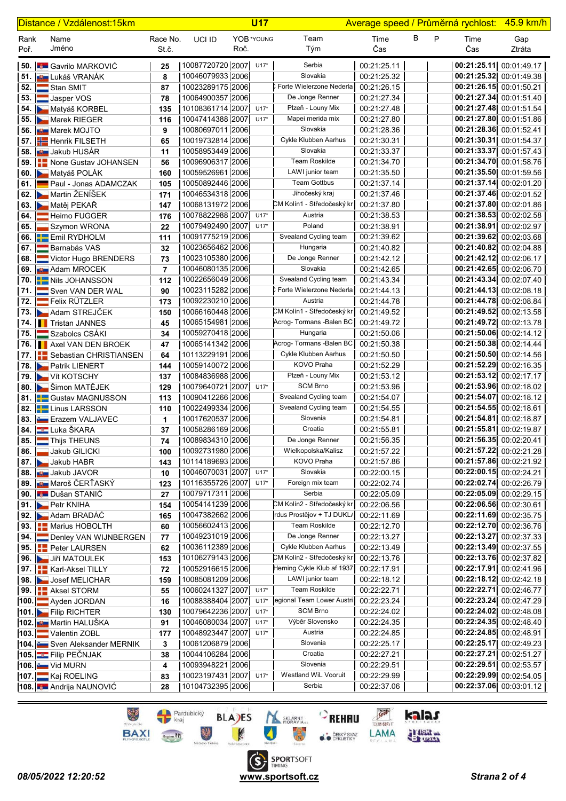|              | Distance / Vzdálenost:15km |                                    |                   | <b>U17</b>       |      |            |                            |             |        | Average speed / Průměrná rychlost: 45.9 km/h |                         |
|--------------|----------------------------|------------------------------------|-------------------|------------------|------|------------|----------------------------|-------------|--------|----------------------------------------------|-------------------------|
| Rank<br>Poř. |                            | Name<br>Jméno                      | Race No.<br>St.č. | UCI ID           | Roč. | YOB *YOUNG | Team<br>Tým                | Time<br>Čas | В<br>P | Time<br>Čas                                  | Gap<br>Ztráta           |
|              |                            | <b>50.</b> Gavrilo MARKOVIC        | 25                | 10087720720 2007 |      | $U17*$     | Serbia                     | 00:21:25.11 |        | 00:21:25.11 00:01:49.17                      |                         |
|              |                            | 51. <b>JU L</b> ukáš VRANÁK        | 8                 | 10046079933 2006 |      |            | Slovakia                   | 00:21:25.32 |        | 00:21:25.32 00:01:49.38                      |                         |
|              |                            | 52. Stan SMIT                      | 87                | 10023289175 2006 |      |            | CForte Wielerzone Nederla  | 00:21:26.15 |        | 00:21:26.15 00:01:50.21                      |                         |
|              |                            | 53. Jasper VOS                     | 78                | 10064900357 2006 |      |            | De Jonge Renner            | 00:21:27.34 |        | 00:21:27.34 00:01:51.40                      |                         |
|              |                            | 54. Matyáš KORBEL                  | 135               | 10108361714 2007 |      | $U17*$     | Plzeň - Louny Mix          | 00:21:27.48 |        | 00:21:27.48 00:01:51.54                      |                         |
|              |                            | 55. Marek RIEGER                   | 116               | 10047414388 2007 |      | $U17*$     | Mapei merida mix           | 00:21:27.80 |        | 00:21:27.80 00:01:51.86                      |                         |
|              |                            | 56. <b>But</b> Marek MOJTO         | 9                 | 10080697011 2006 |      |            | Slovakia                   | 00:21:28.36 |        | 00:21:28.36 00:01:52.41                      |                         |
|              |                            | 57. <b>H</b> Henrik FILSETH        | 65                | 10019732814 2006 |      |            | Cykle Klubben Aarhus       | 00:21:30.31 |        | 00:21:30.31 00:01:54.37                      |                         |
|              |                            | 58. <b>JULI</b> Jakub HUSÁR        | 11                | 10058953449 2006 |      |            | Slovakia                   | 00:21:33.37 |        | 00:21:33.37 00:01:57.43                      |                         |
|              |                            | 59. <b>T</b> None Gustav JOHANSEN  | 56                | 10096906317 2006 |      |            | <b>Team Roskilde</b>       | 00:21:34.70 |        | 00:21:34.70 00:01:58.76                      |                         |
|              |                            | 60. Matyáš POLÁK                   | 160               | 10059526961 2006 |      |            | LAWI junior team           | 00:21:35.50 |        | 00:21:35.50 00:01:59.56                      |                         |
|              |                            | 61. Paul - Jonas ADAMCZAK          | 105               | 10050892446 2006 |      |            | <b>Team Gottbus</b>        | 00:21:37.14 |        | 00:21:37.14 00:02:01.20                      |                         |
|              |                            | 62. Martin ŽENÍŠEK                 | 171               | 10046534318 2006 |      |            | Jihočeský kraj             | 00:21:37.46 |        | 00:21:37.46 00:02:01.52                      |                         |
|              |                            | 63. Matěj PEKAŘ                    | 147               | 10068131972 2006 |      |            | CM Kolín1 - Středočeský kr | 00:21:37.80 |        | 00:21:37.80 00:02:01.86                      |                         |
|              |                            | 64. Heimo FUGGER                   | 176               | 10078822988 2007 |      | $U17*$     | Austria                    | 00:21:38.53 |        | 00:21:38.53 00:02:02.58                      |                         |
|              |                            | 65. Szymon WRONA                   | 22                | 10079492490 2007 |      | $U17*$     | Poland                     | 00:21:38.91 |        | 00:21:38.91 00:02:02.97                      |                         |
|              |                            | 66. Emil RYDHOLM                   | 111               | 10091775219 2006 |      |            | Svealand Cycling team      | 00:21:39.62 |        | 00:21:39.62 00:02:03.68                      |                         |
|              |                            | 67. Barnabás VAS                   | 32                | 10023656462 2006 |      |            | Hungaria                   | 00:21:40.82 |        | 00:21:40.82 00:02:04.88                      |                         |
|              |                            | 68. Victor Hugo BRENDERS           | 73                | 10023105380 2006 |      |            | De Jonge Renner            | 00:21:42.12 |        | 00:21:42.12 00:02:06.17                      |                         |
|              |                            | 69. <b>But Adam MROCEK</b>         | 7                 | 10046080135 2006 |      |            | Slovakia                   | 00:21:42.65 |        | 00:21:42.65 00:02:06.70                      |                         |
|              |                            | 70. <b>E-Nils JOHANSSON</b>        | 112               | 10022656049 2006 |      |            | Svealand Cycling team      | 00:21:43.34 |        | 00:21:43.34 00:02:07.40                      |                         |
|              |                            | 71. Sven VAN DER WAL               | 90                | 10023115282 2006 |      |            | ) Forte Wielerzone Nederla | 00:21:44.13 |        | 00:21:44.13 00:02:08.18                      |                         |
|              |                            | 72. Felix RÜTZLER                  | 173               | 10092230210 2006 |      |            | Austria                    | 00:21:44.78 |        | 00:21:44.78 00:02:08.84                      |                         |
|              |                            | 73. Adam STREJČEK                  | 150               | 10066160448 2006 |      |            | CM Kolín1 - Středočeský kr | 00:21:49.52 |        | 00:21:49.52 00:02:13.58                      |                         |
|              |                            | 74. Tristan JANNES                 | 45                | 10065154981 2006 |      |            | Acrog- Tormans - Balen BC  | 00:21:49.72 |        | 00:21:49.72 00:02:13.78                      |                         |
|              |                            | 75. Szabolcs CSÁKI                 | 34                | 10059270418 2006 |      |            | Hungaria                   | 00:21:50.06 |        | 00:21:50.06 00:02:14.12                      |                         |
|              |                            | 76. <b>I</b> Axel VAN DEN BROEK    | 47                | 10065141342 2006 |      |            | Acrog- Tormans - Balen BC  | 00:21:50.38 |        | 00:21:50.38 00:02:14.44                      |                         |
|              |                            | 77.   Sebastian CHRISTIANSEN       | 64                | 10113229191 2006 |      |            | Cykle Klubben Aarhus       | 00:21:50.50 |        | 00:21:50.50 00:02:14.56                      |                         |
|              |                            | 78. Patrik LIENERT                 | 144               | 10059140072 2006 |      |            | KOVO Praha                 | 00:21:52.29 |        | 00:21:52.29 00:02:16.35                      |                         |
|              |                            | 79. Vít KOTSCHY                    | 137               | 10084836988 2006 |      |            | Plzeň - Louny Mix          | 00:21:53.12 |        | 00:21:53.12 00:02:17.17                      |                         |
|              |                            | 80. Bu Šimon MATĚJEK               | 129               | 10079640721 2007 |      | $U17*$     | <b>SCM Brno</b>            | 00:21:53.96 |        | 00:21:53.96 00:02:18.02                      |                         |
|              |                            | 81. <b>BE</b> Gustav MAGNUSSON     | 113               | 10090412266 2006 |      |            | Svealand Cycling team      | 00:21:54.07 |        | 00:21:54.07 00:02:18.12                      |                         |
|              |                            | 82. <b>Linus LARSSON</b>           | 110               | 10022499334 2006 |      |            | Svealand Cycling team      | 00:21:54.55 |        | 00:21:54.55 00:02:18.61                      |                         |
|              |                            | 83. Erazem VALJAVEC                | 1                 | 10017620537 2006 |      |            | Slovenia                   | 00:21:54.81 |        | 00:21:54.81 00:02:18.87                      |                         |
|              |                            | 84. Luka ŠKARA                     | 37                | 10058286169 2006 |      |            | Croatia                    | 00:21:55.81 |        | 00:21:55.81 00:02:19.87                      |                         |
|              |                            | 85. Thijs THEUNS                   | 74                | 10089834310 2006 |      |            | De Jonge Renner            | 00:21:56.35 |        | 00:21:56.35 00:02:20.41                      |                         |
|              |                            | 86. Jakub GILICKI                  | 100               | 10092731980 2006 |      |            | Wielkopolska/Kalisz        | 00:21:57.22 |        | 00:21:57.22 00:02:21.28                      |                         |
|              |                            | 87. Jakub HABR                     | 143               | 10114189693 2006 |      |            | KOVO Praha                 | 00:21:57.86 |        | 00:21:57.86 00:02:21.92                      |                         |
|              |                            | 88. <b>Um</b> Jakub JAVOR          | 10                | 10046070031 2007 |      | $U17*$     | Slovakia                   | 00:22:00.15 |        | 00:22:00.15 00:02:24.21                      |                         |
|              |                            | 89. <b>JU Maroš ČERŤASKÝ</b>       | 123               | 10116355726 2007 |      | $U17*$     | Foreign mix team           | 00:22:02.74 |        | 00:22:02.74 00:02:26.79                      |                         |
|              |                            | 90. Dušan STANIĆ                   | 27                | 10079717311 2006 |      |            | Serbia                     | 00:22:05.09 |        | 00:22:05.09 00:02:29.15                      |                         |
|              |                            | 91. Petr KNIHA                     | 154               | 10054141239 2006 |      |            | CM Kolín2 - Středočeský kr | 00:22:06.56 |        | 00:22:06.56 00:02:30.61                      |                         |
|              |                            | 92. Adam BRADÁČ                    | 165               | 10047382662 2006 |      |            | rdus Prostějov + TJ DUKL/  | 00:22:11.69 |        | 00:22:11.69 00:02:35.75                      |                         |
|              |                            | 93. <b>E-Marius HOBOLTH</b>        | 60                | 10056602413 2006 |      |            | Team Roskilde              | 00:22:12.70 |        | 00:22:12.70 00:02:36.76                      |                         |
|              |                            | 94. Denley VAN WIJNBERGEN          | 77                | 10049231019 2006 |      |            | De Jonge Renner            | 00:22:13.27 |        | 00:22:13.27 00:02:37.33                      |                         |
|              |                            | 95. <b>PH</b> Peter LAURSEN        | 62                | 10036112389 2006 |      |            | Cykle Klubben Aarhus       | 00:22:13.49 |        | 00:22:13.49 00:02:37.55                      |                         |
|              |                            | 96. Jiří MATOULEK                  | 153               | 10106279143 2006 |      |            | CM Kolín2 - Středočeský kr | 00:22:13.76 |        | 00:22:13.76 00:02:37.82                      |                         |
|              |                            | 97. <b>Karl-Aksel TILLY</b>        | 72                | 10052916615 2006 |      |            | Herning Cykle Klub af 1937 | 00:22:17.91 |        | 00:22:17.91 00:02:41.96                      |                         |
|              |                            | 98. Josef MELICHAR                 | 159               | 10085081209 2006 |      |            | LAWI junior team           | 00:22:18.12 |        | 00:22:18.12 00:02:42.18                      |                         |
|              |                            | 99. <b>E.</b> Aksel STORM          | 55                | 10060241327 2007 |      | $U17*$     | Team Roskilde              | 00:22:22.71 |        | 00:22:22.71 00:02:46.77                      |                         |
|              |                            | 100. Ayden JORDAN                  | 16                | 10088388404 2007 |      | $U17*$     | egional Team Lower Austri  | 00:22:23.24 |        | 00:22:23.24 00:02:47.29                      |                         |
|              |                            | 101. Filip RICHTER                 | 130               | 10079642236 2007 |      | $U17*$     | <b>SCM Brno</b>            | 00:22:24.02 |        | 00:22:24.02 00:02:48.08                      |                         |
|              |                            | 102. <b>Juli</b> Martin HALUŠKA    | 91                | 10046080034 2007 |      | $U17*$     | Výběr Slovensko            | 00:22:24.35 |        | 00:22:24.35 00:02:48.40                      |                         |
|              |                            | 103. Valentin ZOBL                 | 177               | 10048923447 2007 |      | $U17*$     | Austria                    | 00:22:24.85 |        | 00:22:24.85 00:02:48.91                      |                         |
|              |                            | 104. Sven Aleksander MERNIK        | 3                 | 10061206879 2006 |      |            | Slovenia                   | 00:22:25.17 |        | 00:22:25.17 00:02:49.23                      |                         |
|              |                            | 105. E Filip PEČNJAK               | 38                | 10044106284 2006 |      |            | Croatia                    | 00:22:27.21 |        | 00:22:27.21 00:02:51.27                      |                         |
|              |                            | <b>106. Computer Vid MURN</b>      | 4                 | 10093948221 2006 |      |            | Slovenia                   | 00:22:29.51 |        | 00:22:29.51 00:02:53.57                      |                         |
|              |                            | 107. Kaj ROELING                   | 83                | 10023197431 2007 |      | $U17*$     | Westland WiL Vooruit       | 00:22:29.99 |        | 00:22:29.99 00:02:54.05                      |                         |
|              |                            | 108. <b>Julie Andrija NAUNOVIĆ</b> | 28                | 10104732395 2006 |      |            | Serbia                     | 00:22:37.06 |        |                                              | 00:22:37.06 00:03:01.12 |

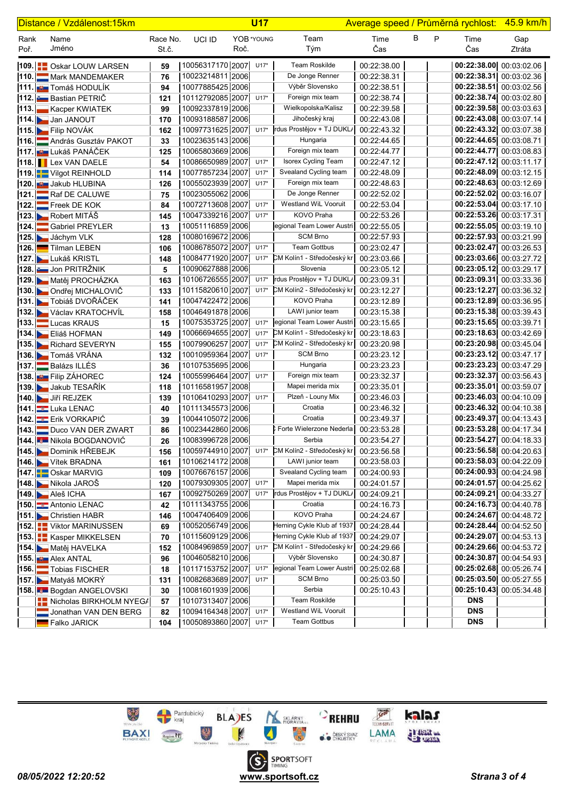| Distance / Vzdálenost:15km |  |                                            |                   |                                      | <b>U17</b> |            |                                       | Average speed / Průměrná rychlost: 45.9 km/h |   |   |                                                    |                         |
|----------------------------|--|--------------------------------------------|-------------------|--------------------------------------|------------|------------|---------------------------------------|----------------------------------------------|---|---|----------------------------------------------------|-------------------------|
| Rank<br>Poř.               |  | Name<br>Jméno                              | Race No.<br>St.č. | UCI ID                               | Roč.       | YOB *YOUNG | Team<br>Tým                           | Time<br>Čas                                  | В | P | Time<br>Čas                                        | Gap<br>Ztráta           |
|                            |  |                                            |                   |                                      |            |            |                                       |                                              |   |   |                                                    |                         |
|                            |  | 109. <b>I D</b> Oskar LOUW LARSEN          | 59                | 10056317170   2007                   |            | $U17*$     | <b>Team Roskilde</b>                  | 00:22:38.00                                  |   |   |                                                    | 00:22:38.00 00:03:02.06 |
|                            |  | 110. Mark MANDEMAKER                       | 76                | 10023214811 2006                     |            |            | De Jonge Renner                       | 00:22:38.31                                  |   |   | 00:22:38.31 00:03:02.36                            |                         |
|                            |  | 111. <b>Juli</b> Tomáš HODULÍK             | 94                | 10077885425 2006                     |            |            | Výběr Slovensko                       | 00:22:38.51                                  |   |   | 00:22:38.51 00:03:02.56                            |                         |
|                            |  | 112. Bastian PETRIČ                        | 121               | 10112792085 2007                     |            | $U17*$     | Foreign mix team                      | 00:22:38.74                                  |   |   | 00:22:38.74 00:03:02.80                            |                         |
|                            |  | 113. Kacper KWIATEK                        | 99                | 10092337819 2006                     |            |            | Wielkopolska/Kalisz<br>Jihočeský kraj | 00:22:39.58                                  |   |   | 00:22:39.58 00:03:03.63                            |                         |
|                            |  | 114. Jan JANOUT                            | 170               | 10093188587 2006                     |            |            | rdus Prostějov + TJ DUKL/             | 00:22:43.08                                  |   |   | 00:22:43.08 00:03:07.14                            |                         |
|                            |  | 115. Filip NOVÁK                           | 162               | 10097731625 2007                     |            | $U17*$     |                                       | 00:22:43.32                                  |   |   | 00:22:43.32 00:03:07.38                            |                         |
|                            |  | 116. András Gusztáv PAKOT                  | 33                | 10023635143 2006                     |            |            | Hungaria<br>Foreign mix team          | 00:22:44.65                                  |   |   | 00:22:44.65 00:03:08.71                            |                         |
|                            |  | <b>117. Em Lukáš PANÁČEK</b>               | 125               | 10065803669 2006<br>10086650989 2007 |            | $U17*$     | Isorex Cycling Team                   | 00:22:44.77<br>00:22:47.12                   |   |   | 00:22:44.77 00:03:08.83<br>00:22:47.12 00:03:11.17 |                         |
|                            |  | <b>118. Lex VAN DAELE</b>                  | 54                | 10077857234 2007                     |            | $U17*$     | Svealand Cycling team                 | 00:22:48.09                                  |   |   | 00:22:48.09 00:03:12.15                            |                         |
|                            |  | 119. Vilgot REINHOLD                       | 114               | 10055023939 2007                     |            | $U17*$     | Foreign mix team                      | 00:22:48.63                                  |   |   | 00:22:48.63 00:03:12.69                            |                         |
|                            |  | 120. U Jakub HLUBINA                       | 126               | 10023055062 2006                     |            |            | De Jonge Renner                       | 00:22:52.02                                  |   |   | 00:22:52.02 00:03:16.07                            |                         |
|                            |  | 121. Raf DE CALUWE                         | 75                | 10072713608 2007                     |            | $U17*$     | Westland WiL Vooruit                  | 00:22:53.04                                  |   |   | 00:22:53.04 00:03:17.10                            |                         |
|                            |  | $ 122. $ Freek DE KOK<br>123. Robert MITÁŠ | 84                | 10047339216 2007                     |            | $U17*$     | <b>KOVO Praha</b>                     | 00:22:53.26                                  |   |   | 00:22:53.26 00:03:17.31                            |                         |
|                            |  | 124. Gabriel PREYLER                       | 145               | 10051116859 2006                     |            |            | egional Team Lower Austri             | 00:22:55.05                                  |   |   | 00:22:55.05 00:03:19.10                            |                         |
|                            |  |                                            | 13                | 10080169672 2006                     |            |            | <b>SCM Brno</b>                       | 00:22:57.93                                  |   |   | 00:22:57.93 00:03:21.99                            |                         |
|                            |  | 125. Jáchym VLK<br>126. Tilman LEBEN       | 128               | 10086785072 2007                     |            | $U17*$     | <b>Team Gottbus</b>                   | 00:23:02.47                                  |   |   | 00:23:02.47 00:03:26.53                            |                         |
|                            |  |                                            | 106               | 10084771920 2007                     |            | $U17*$     | CM Kolín1 - Středočeský kr            | 00:23:03.66                                  |   |   | 00:23:03.66 00:03:27.72                            |                         |
|                            |  | 127. Lukáš KRISTL<br>128. Jon PRITRŽNIK    | 148<br>5          | 10090627888 2006                     |            |            | Slovenia                              | 00:23:05.12                                  |   |   | 00:23:05.12 00:03:29.17                            |                         |
|                            |  | 129. Matěj PROCHÁZKA                       | 163               | 10106726555 2007                     |            | $U17*$     | rdus Prostějov + TJ DUKL/             | 00:23:09.31                                  |   |   | 00:23:09.31 00:03:33.36                            |                         |
|                            |  | 130. Dondřej MICHALOVIČ                    | 133               | 10115820610 2007                     |            | $U17*$     | CM Kolín2 - Středočeský kr            | 00:23:12.27                                  |   |   | 00:23:12.27 00:03:36.32                            |                         |
|                            |  | 131. Tobiáš DVOŘÁČEK                       | 141               | 10047422472 2006                     |            |            | KOVO Praha                            | 00:23:12.89                                  |   |   | 00:23:12.89 00:03:36.95                            |                         |
|                            |  | 132. Václav KRATOCHVÍL                     | 158               | 10046491878 2006                     |            |            | LAWI junior team                      | 00:23:15.38                                  |   |   | 00:23:15.38 00:03:39.43                            |                         |
|                            |  | 133. Lucas KRAUS                           | 15                | 10075353725 2007                     |            | $U17*$     | legional Team Lower Austri            | 00:23:15.65                                  |   |   | 00:23:15.65 00:03:39.71                            |                         |
|                            |  | 134. Eliáš HOFMAN                          | 149               | 10066694655 2007                     |            | $U17*$     | CM Kolín1 - Středočeský kr            | 00:23:18.63                                  |   |   | 00:23:18.63 00:03:42.69                            |                         |
|                            |  | 135. Richard SEVERYN                       | 155               | 10079906257 2007                     |            | $U17*$     | CM Kolín2 - Středočeský kr            | 00:23:20.98                                  |   |   | 00:23:20.98 00:03:45.04                            |                         |
|                            |  | 136. Tomáš VRÁNA                           | 132               | 10010959364 2007                     |            | $U17*$     | <b>SCM Brno</b>                       | 00:23:23.12                                  |   |   | 00:23:23.12 00:03:47.17                            |                         |
|                            |  | 137. Balázs ILLÉS                          | 36                | 10107535695 2006                     |            |            | Hungaria                              | 00:23:23.23                                  |   |   | 00:23:23.23 00:03:47.29                            |                         |
|                            |  | 138. <b>But</b> Filip ZÁHOREC              | 124               | 10055996464 2007                     |            | $U17*$     | Foreign mix team                      | 00:23:32.37                                  |   |   | 00:23:32.37 00:03:56.43                            |                         |
|                            |  | 139. Jakub TESAŘÍK                         | 118               | 10116581957 2008                     |            |            | Mapei merida mix                      | 00:23:35.01                                  |   |   | 00:23:35.01 00:03:59.07                            |                         |
|                            |  | 140. Jiří REJZEK                           | 139               | 10106410293 2007                     |            | $U17*$     | Plzeň - Louny Mix                     | 00:23:46.03                                  |   |   | 00:23:46.03 00:04:10.09                            |                         |
|                            |  | 141. Luka LENAC                            | 40                | 10111345573 2006                     |            |            | Croatia                               | 00:23:46.32                                  |   |   | 00:23:46.32 00:04:10.38                            |                         |
|                            |  | 142. Erik VORKAPIĆ                         | 39                | 10044105072 2006                     |            |            | Croatia                               | 00:23:49.37                                  |   |   | 00:23:49.37 00:04:13.43                            |                         |
|                            |  | 143. Duco VAN DER ZWART                    | 86                | 10023442860 2006                     |            |            | CForte Wielerzone Nederla             | 00:23:53.28                                  |   |   | 00:23:53.28 00:04:17.34                            |                         |
|                            |  | 144. Nikola BOGDANOVIĆ                     | 26                | 10083996728 2006                     |            |            | Serbia                                | 00:23:54.27                                  |   |   |                                                    | 00:23:54.27 00:04:18.33 |
|                            |  | 145. Dominik HREBEJK                       | 156               | 10059744910 2007                     |            | $U17*$     | CM Kolín2 - Středočeský kr            | 00:23:56.58                                  |   |   | 00:23:56.58 00:04:20.63                            |                         |
|                            |  | 146. Vítek BRADNA                          | 161               | 10106214172 2008                     |            |            | LAWI junior team                      | 00:23:58.03                                  |   |   | 00:23:58.03 00:04:22.09                            |                         |
|                            |  | 147. Coskar MARVIG                         | 109               | 10076676157 2006                     |            |            | Svealand Cycling team                 | 00:24:00.93                                  |   |   | 00:24:00.93 00:04:24.98                            |                         |
|                            |  | 148. Nikola JAROŠ                          | 120               | 10079309305 2007                     |            | $U17*$     | Mapei merida mix                      | 00:24:01.57                                  |   |   | 00:24:01.57 00:04:25.62                            |                         |
|                            |  | <b>149.</b> Aleš ICHA                      | 167               | 10092750269 2007                     |            | $U17*$     | rdus Prostějov + TJ DUKL/             | 00:24:09.21                                  |   |   | 00:24:09.21 00:04:33.27                            |                         |
|                            |  | 150. Antonio LENAC                         | 42                | 10111343755 2006                     |            |            | Croatia                               | 00:24:16.73                                  |   |   | 00:24:16.73 00:04:40.78                            |                         |
|                            |  | 151. Christien HABR                        | 146               | 10047406409 2006                     |            |            | KOVO Praha                            | 00:24:24.67                                  |   |   | 00:24:24.67 00:04:48.72                            |                         |
|                            |  | 152. Viktor MARINUSSEN                     | 69                | 10052056749 2006                     |            |            | Herning Cykle Klub af 1937            | 00:24:28.44                                  |   |   | 00:24:28.44 00:04:52.50                            |                         |
|                            |  | 153. EKasper MIKKELSEN                     | 70                | 10115609129 2006                     |            |            | Herning Cykle Klub af 1937            | 00:24:29.07                                  |   |   |                                                    | 00:24:29.07 00:04:53.13 |
|                            |  | 154. Matěj HAVELKA                         | 152               | 10084969859 2007                     |            | $U17*$     | CM Kolín1 - Středočeský kr            | 00:24:29.66                                  |   |   | 00:24:29.66 00:04:53.72                            |                         |
|                            |  | 155. <b>JULY AIRX ANTAL</b>                | 96                | 10046058210 2006                     |            |            | Výběr Slovensko                       | 00:24:30.87                                  |   |   | 00:24:30.87 00:04:54.93                            |                         |
|                            |  | 156. Tobias FISCHER                        | 18                | 10117153752 2007                     |            | $U17*$     | egional Team Lower Austri             | 00:25:02.68                                  |   |   |                                                    | 00:25:02.68 00:05:26.74 |
|                            |  | 157. Matyáš MOKRÝ                          | 131               | 10082683689 2007                     |            | $U17*$     | <b>SCM Brno</b>                       | 00:25:03.50                                  |   |   | 00:25:03.50 00:05:27.55                            |                         |
|                            |  | 158. Bogdan ANGELOVSKI                     | 30                | 10081601939 2006                     |            |            | Serbia                                | 00:25:10.43                                  |   |   | 00:25:10.43 00:05:34.48                            |                         |
|                            |  | Nicholas BIRKHOLM NYEGA                    | 57                | 10107313407 2006                     |            |            | Team Roskilde                         |                                              |   |   | <b>DNS</b>                                         |                         |
|                            |  | Jonathan VAN DEN BERG                      | 82                | 10094164348 2007                     |            | $U17*$     | Westland WiL Vooruit                  |                                              |   |   | <b>DNS</b>                                         |                         |
|                            |  | Falko JARICK                               | 104               | 10050893860 2007                     |            | $U17*$     | <b>Team Gottbus</b>                   |                                              |   |   | <b>DNS</b>                                         |                         |